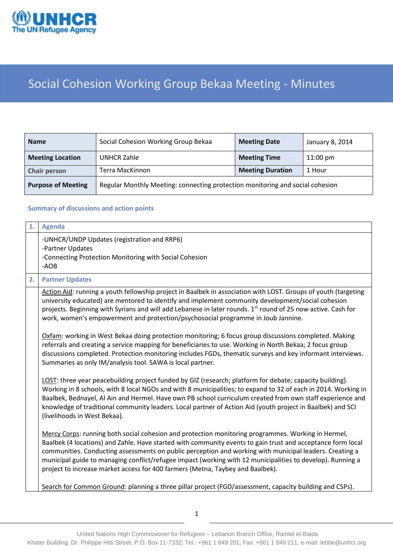

## Social Cohesion Working Group Bekaa Meeting - Minutes

| <b>Name</b>               | Social Cohesion Working Group Bekaa                                           | <b>Meeting Date</b>     | January 8, 2014    |
|---------------------------|-------------------------------------------------------------------------------|-------------------------|--------------------|
| <b>Meeting Location</b>   | <b>UNHCR Zahle</b>                                                            | <b>Meeting Time</b>     | $11:00 \text{ pm}$ |
| <b>Chair person</b>       | Terra MacKinnon                                                               | <b>Meeting Duration</b> | 1 Hour             |
| <b>Purpose of Meeting</b> | Regular Monthly Meeting: connecting protection monitoring and social cohesion |                         |                    |

## **Summary of discussions and action points**

| 1. | <b>Agenda</b>                                                                                                                                                                                                                                                                                                                                                                                                                                                                                                                |
|----|------------------------------------------------------------------------------------------------------------------------------------------------------------------------------------------------------------------------------------------------------------------------------------------------------------------------------------------------------------------------------------------------------------------------------------------------------------------------------------------------------------------------------|
|    | -UNHCR/UNDP Updates (registration and RRP6)<br>-Partner Updates<br>-Connecting Protection Monitoring with Social Cohesion<br>-AOB                                                                                                                                                                                                                                                                                                                                                                                            |
| 2. | <b>Partner Updates</b>                                                                                                                                                                                                                                                                                                                                                                                                                                                                                                       |
|    | Action Aid: running a youth fellowship project in Baalbek in association with LOST. Groups of youth (targeting<br>university educated) are mentored to identify and implement community development/social cohesion<br>projects. Beginning with Syrians and will add Lebanese in later rounds. 1st round of 25 now active. Cash for<br>work, women's empowerment and protection/psychosocial programme in Joub Jannine.                                                                                                      |
|    | Oxfam: working in West Bekaa doing protection monitoring; 6 focus group discussions completed. Making<br>referrals and creating a service mapping for beneficiaries to use. Working in North Bekaa; 2 focus group<br>discussions completed. Protection monitoring includes FGDs, thematic surveys and key informant interviews.<br>Summaries as only IM/analysis tool. SAWA is local partner.                                                                                                                                |
|    | LOST: three year peacebuilding project funded by GIZ (research; platform for debate; capacity building).<br>Working in 8 schools, with 8 local NGOs and with 8 municipalities; to expand to 32 of each in 2014. Working in<br>Baalbek, Bednayel, Al Ain and Hermel. Have own PB school curriculum created from own staff experience and<br>knowledge of traditional community leaders. Local partner of Action Aid (youth project in Baalbek) and SCI<br>(livelihoods in West Bekaa).                                        |
|    | Mercy Corps: running both social cohesion and protection monitoring programmes. Working in Hermel,<br>Baalbek (4 locations) and Zahle. Have started with community events to gain trust and acceptance form local<br>communities. Conducting assessments on public perception and working with municipal leaders. Creating a<br>municipal guide to managing conflict/refugee impact (working with 12 municipalities to develop). Running a<br>project to increase market access for 400 farmers (Metna, Taybey and Baalbek). |
|    | Search for Common Ground: planning a three pillar project (FGD/assessment, capacity building and CSPs).                                                                                                                                                                                                                                                                                                                                                                                                                      |

1